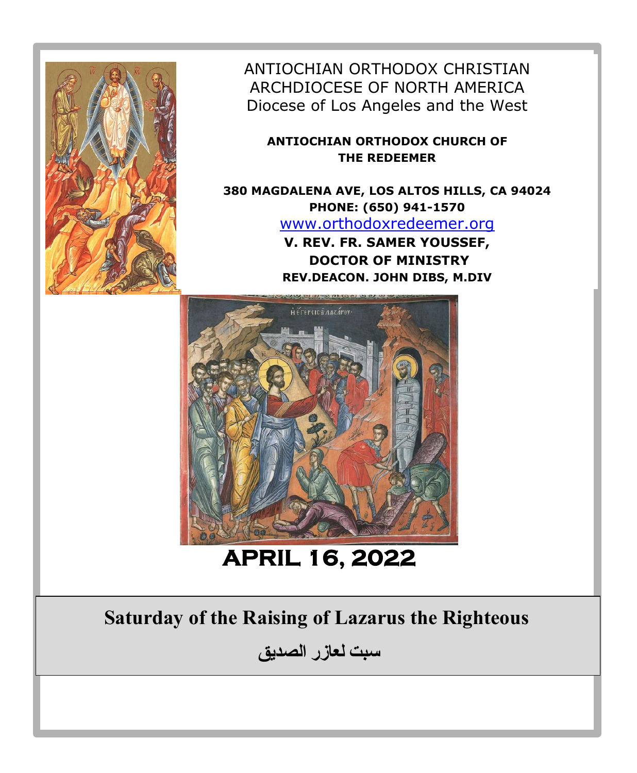

ANTIOCHIAN ORTHODOX CHRISTIAN ARCHDIOCESE OF NORTH AMERICA Diocese of Los Angeles and the West

**ANTIOCHIAN ORTHODOX CHURCH OF THE REDEEMER**

**380 MAGDALENA AVE, LOS ALTOS HILLS, CA 94024 PHONE: (650) 941-1570**  [www.orthodoxredeemer.org](http://www.orthodoxredeemer.org/) **V. REV. FR. SAMER YOUSSEF, DOCTOR OF MINISTRY**

**REV.DEACON. JOHN DIBS, M.DIV**



**APRIL 16, 2022** 

# **Saturday of the Raising of Lazarus the Righteous**

**سبت لعازر الصديق**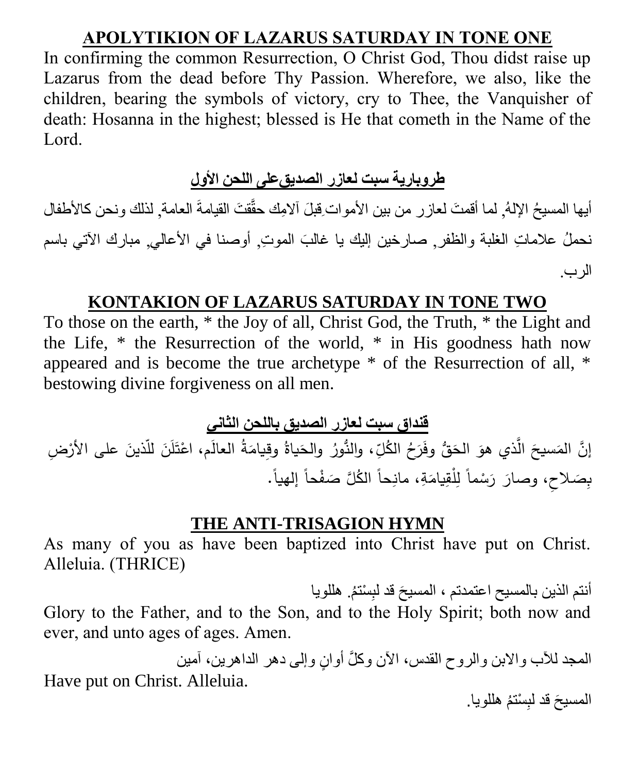# **APOLYTIKION OF LAZARUS SATURDAY IN TONE ONE**

In confirming the common Resurrection, O Christ God, Thou didst raise up Lazarus from the dead before Thy Passion. Wherefore, we also, like the children, bearing the symbols of victory, cry to Thee, the Vanquisher of death: Hosanna in the highest; blessed is He that cometh in the Name of the Lord.

# طروبارية سبت لعازر الصديق *على* اللحن الأول

أيها المسيحُ الإلـهُ, لما أقمتَ لعازر من بين الأموات ِقبلَ آلامِك حقَّقتَ القيامةَ العامة, لذلك ونحن كالأطفال نحملُ علاماتِ الغلبة والظفر, صارخين إليك يا غالبَ الموتِ, أوصنا في الأعالي, مبارك الآتي باسم الرب.

## **KONTAKION OF LAZARUS SATURDAY IN TONE TWO**

To those on the earth, \* the Joy of all, Christ God, the Truth, \* the Light and the Life, \* the Resurrection of the world, \* in His goodness hath now appeared and is become the true archetype \* of the Resurrection of all, \* bestowing divine forgiveness on all men.

**قنداق سبت لعازر الصديق باللحن الثاني**

إنَّ المَسيحَ الَّذي هوَ الحَقُّ وفَرَحُ الكُلِّ، والنُّورُ والحَياةُ وقِيامَةُ العالَم، اعْتَلَنَ للّذينَ على الأرْضِ .<br>ا ِّ َ ْ َ َ بِصَلاحِ، وصارَ رَسْماً لِلْقِيامَةِ، مانِحاً الكُلَّ صَفْحاً إلهياً. ْ

#### **THE ANTI-TRISAGION HYMN**

As many of you as have been baptized into Christ have put on Christ. Alleluia. (THRICE)

أنتم الذين بالمسيح اعتمدتم ، المسيحَ قد لبِسْتمُ. هللويا Glory to the Father, and to the Son, and to the Holy Spirit; both now and ever, and unto ages of ages. Amen.

المجد للأب والابن والروح القدس، الأن وكلَّ أوانٍ وإلى دهر الداهرين، آمين Have put on Christ. Alleluia. المسيحَ قد لبِسْتمُ هللويا.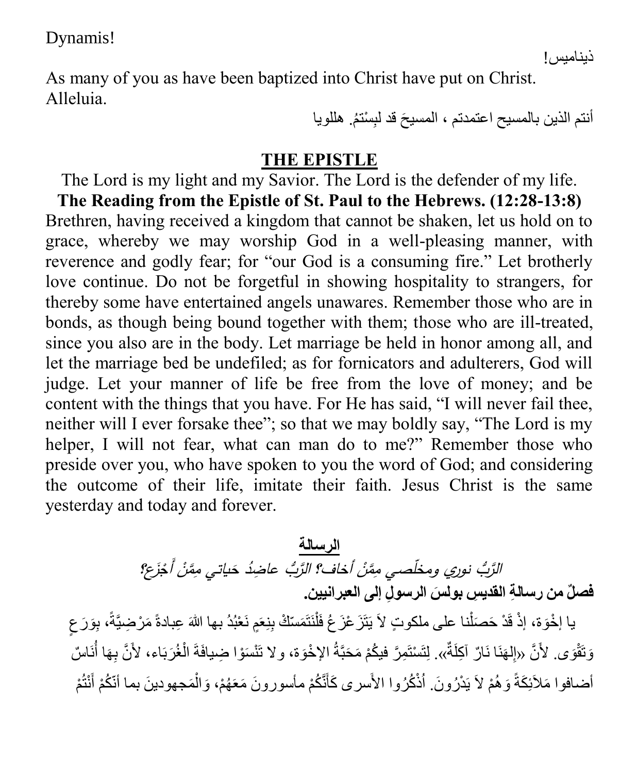Dynamis!

As many of you as have been baptized into Christ have put on Christ. Alleluia.

أنتم الذين بالمسيح اعتمدتم ، المسيحَ قد لبِسْتمُ. هللويا

#### **THE EPISTLE**

The Lord is my light and my Savior. The Lord is the defender of my life. **The Reading from the Epistle of St. Paul to the Hebrews. (12:28-13:8)** Brethren, having received a kingdom that cannot be shaken, let us hold on to grace, whereby we may worship God in a well-pleasing manner, with reverence and godly fear; for "our God is a consuming fire." Let brotherly love continue. Do not be forgetful in showing hospitality to strangers, for thereby some have entertained angels unawares. Remember those who are in bonds, as though being bound together with them; those who are ill-treated, since you also are in the body. Let marriage be held in honor among all, and let the marriage bed be undefiled; as for fornicators and adulterers, God will judge. Let your manner of life be free from the love of money; and be content with the things that you have. For He has said, "I will never fail thee, neither will I ever forsake thee"; so that we may boldly say, "The Lord is my helper, I will not fear, what can man do to me?" Remember those who preside over you, who have spoken to you the word of God; and considering the outcome of their life, imitate their faith. Jesus Christ is the same yesterday and today and forever.

> **الرسالة** نُ أَجْزَعِ؟ نُ أخاف؟ الرَّبُّ عاضِدُ حَياتي مِمَّنْ الرَّبُ نوري ومخلَّصي مِمَّنْ **بول . َس الرسو ِل فص ٌل من رسال ِة القدي ِس إلى العبرانيين**

يا إخْوَة، إذْ قَدْ حَصَلْنا على ملكوتٍ لاَ يَتَزَ عْزَ عُ فَلْنَتَمَسّكْ بِنِعَمٍ نَعْبُدُ بها اللهَ عِبادةً مَرْضِيَّةً، بِوَرَ عِ ٍ ْ ْ وَتَقْوَى. لأَنَّ «إلهَنَا نَارٌ آكِلَةٌ». لِتَسْتَمِرَّ فيكُمْ مَحَبَّةُ الإخْوَة، ولا تَنْسَوْا ضِيافَةَ الْغُرَبَاء، لأَنَّ بِهَا أُنَاسٌ ِ ر<br>أا ْ أضـافوا مَلأَئِكَةً وَهُمْ لاَ يَدْرُونَ. أَذْكُرُوا الأَسرى كَأَنَّكُمْ مأسورونَ مَعَهُمْ، وَالْمَجهودينَ بما أنّكُمْ أَنْتُمْ َ ْ َ

ذيناميس!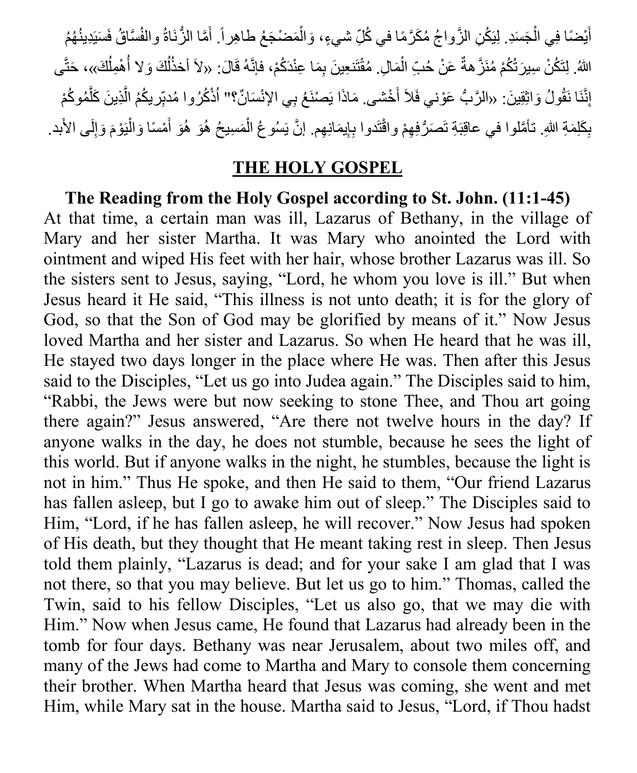أَيْضًا فِي الْجَسَدِ. لِيَكُنِ الزَّواجُ مُكَرَّمًا في كُلِّ شيءٍ، وَالْمَضْجَعُ طاهِراً. أَمَّا الزُّنَاةُ والفُسَّاقُ فَسَيَدِينُهُمُ َ ْ ْ َ اللهُ. لِتَكُنْ سِيرَ تُكُمْ مُنَزَّ هةٌ عَنْ حُبِّ الْمَالِ. مُقْتَنعِينَ بِمَا عِنْدَكُمْ، فإنَّهُ قَالَ: «لاَ أخذُلُكَ وَ لا أُهْمِلُكَ»، حَتَّى ْ ُ ُ ُ إِنَّنَا نَقُولُ وَاثِقِينَ: «الرَّبُّ عَوْني فَلاَ أَخْشى. مَاذَا يَصْنَعُ بِي الإِنْسَانٌ؟" أَذْكُرُوا مُدبِّر يكُمُ الَّذِينَ كَلَّمُوكُمْ َ َّ َّ ِ ْ بِكَلِمَةِ اللهِ. تأمَّلوا في عاقِبَةِ تَصَرُّفِهِمْ واقْتَدوا بِإِيمَانِهِم. إنَّ يَسُوعُ الْمَسِيحُ هُوَ هُوَ أَمْسًا وَالْيَوْمَ وَإِلَى الأَبد. َ ْ ِ ِ

## **THE HOLY GOSPEL**

**The Reading from the Holy Gospel according to St. John. (11:1-45)** At that time, a certain man was ill, Lazarus of Bethany, in the village of Mary and her sister Martha. It was Mary who anointed the Lord with ointment and wiped His feet with her hair, whose brother Lazarus was ill. So the sisters sent to Jesus, saying, "Lord, he whom you love is ill." But when Jesus heard it He said, "This illness is not unto death; it is for the glory of God, so that the Son of God may be glorified by means of it." Now Jesus loved Martha and her sister and Lazarus. So when He heard that he was ill, He stayed two days longer in the place where He was. Then after this Jesus said to the Disciples, "Let us go into Judea again." The Disciples said to him, "Rabbi, the Jews were but now seeking to stone Thee, and Thou art going there again?" Jesus answered, "Are there not twelve hours in the day? If anyone walks in the day, he does not stumble, because he sees the light of this world. But if anyone walks in the night, he stumbles, because the light is not in him." Thus He spoke, and then He said to them, "Our friend Lazarus has fallen asleep, but I go to awake him out of sleep." The Disciples said to Him, "Lord, if he has fallen asleep, he will recover." Now Jesus had spoken of His death, but they thought that He meant taking rest in sleep. Then Jesus told them plainly, "Lazarus is dead; and for your sake I am glad that I was not there, so that you may believe. But let us go to him." Thomas, called the Twin, said to his fellow Disciples, "Let us also go, that we may die with Him." Now when Jesus came, He found that Lazarus had already been in the tomb for four days. Bethany was near Jerusalem, about two miles off, and many of the Jews had come to Martha and Mary to console them concerning their brother. When Martha heard that Jesus was coming, she went and met Him, while Mary sat in the house. Martha said to Jesus, "Lord, if Thou hadst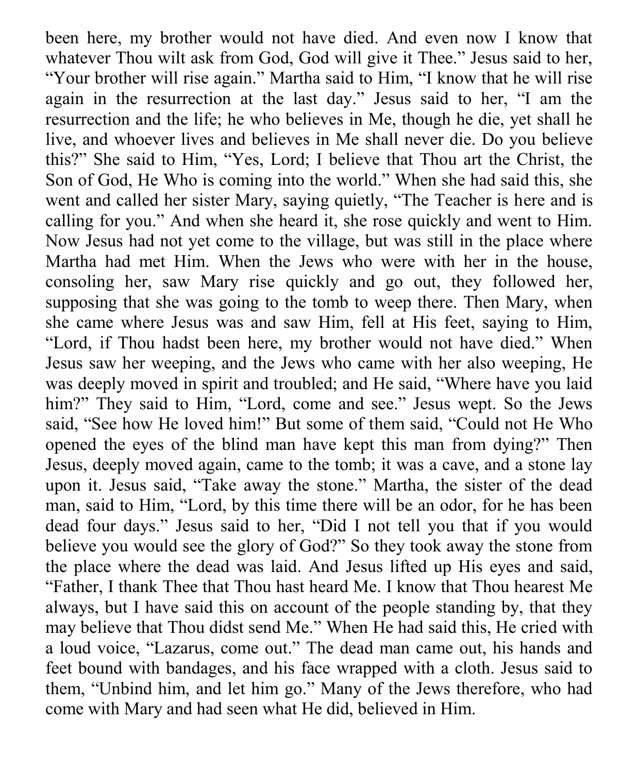been here, my brother would not have died. And even now I know that whatever Thou wilt ask from God, God will give it Thee." Jesus said to her, "Your brother will rise again." Martha said to Him, "I know that he will rise again in the resurrection at the last day." Jesus said to her, "I am the resurrection and the life; he who believes in Me, though he die, yet shall he live, and whoever lives and believes in Me shall never die. Do you believe this?" She said to Him, "Yes, Lord; I believe that Thou art the Christ, the Son of God, He Who is coming into the world." When she had said this, she went and called her sister Mary, saying quietly, "The Teacher is here and is calling for you." And when she heard it, she rose quickly and went to Him. Now Jesus had not yet come to the village, but was still in the place where Martha had met Him. When the Jews who were with her in the house, consoling her, saw Mary rise quickly and go out, they followed her, supposing that she was going to the tomb to weep there. Then Mary, when she came where Jesus was and saw Him, fell at His feet, saying to Him, "Lord, if Thou hadst been here, my brother would not have died." When Jesus saw her weeping, and the Jews who came with her also weeping, He was deeply moved in spirit and troubled; and He said, "Where have you laid him?" They said to Him, "Lord, come and see." Jesus wept. So the Jews said, "See how He loved him!" But some of them said, "Could not He Who opened the eyes of the blind man have kept this man from dying?" Then Jesus, deeply moved again, came to the tomb; it was a cave, and a stone lay upon it. Jesus said, "Take away the stone." Martha, the sister of the dead man, said to Him, "Lord, by this time there will be an odor, for he has been dead four days." Jesus said to her, "Did I not tell you that if you would believe you would see the glory of God?" So they took away the stone from the place where the dead was laid. And Jesus lifted up His eyes and said, "Father, I thank Thee that Thou hast heard Me. I know that Thou hearest Me always, but I have said this on account of the people standing by, that they may believe that Thou didst send Me." When He had said this, He cried with a loud voice, "Lazarus, come out." The dead man came out, his hands and feet bound with bandages, and his face wrapped with a cloth. Jesus said to them, "Unbind him, and let him go." Many of the Jews therefore, who had come with Mary and had seen what He did, believed in Him.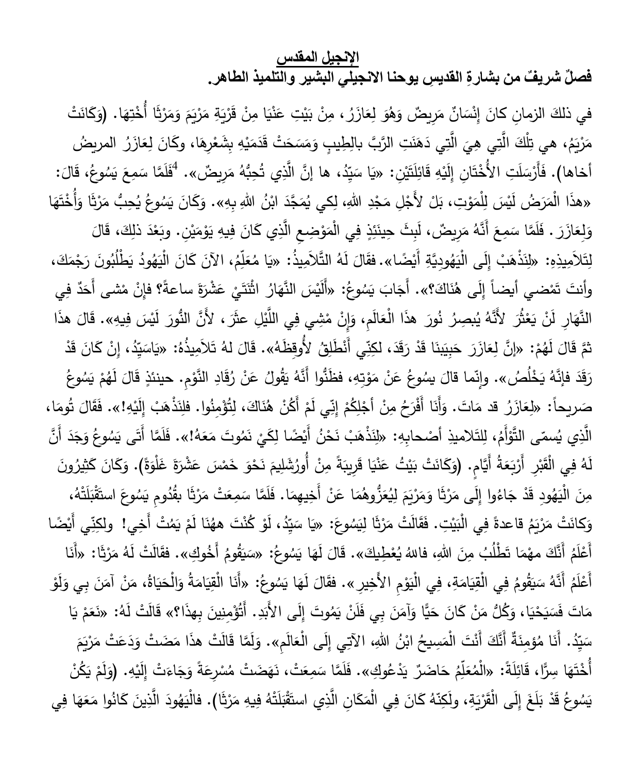## **اإلنجيل المقدس**

فصلٌ شريفٌ من بشارةِ القدي*سِ* يوحنا الانجيلي البشير والتلميذ الطاهر.

َ في ذلكَ الزمانِ كانَ إِنْسَانٌ مَرِيضٌ وَهُوَ لِعَازَرُ ، مِنْ بَيْتِ عَنْيَا مِنْ قَرْيَةِ مَرْيَمَ وَمَرْثَا أُخْتِهَا. (وَكَانَتْ َ **€** .<br>. ً<br>ً َ َ ׇ֧֘֝֬֓<u>֓</u> .<br>. ً<br>ً ـَــ<br>أ .<br>ا <u>:</u> َ ْ َ <u>ٔ</u> َ <u>:</u> الَّتِي دَهَنَتِ الرَّبَّ بالِطِيبِ وَمَسَحَتْ قَدَمَيْهِ بِشَعْرِهَا، وكَانَ لِعَازَرُ الم َ َ ا<br>أ ْ .<br>. َ ً<br>ب َ َ .<br>. مَرْيَمُ، هي تِلْكَ الَّتِي هِيَ الَّتِي دَهَنَتِ الرَّبَّ بالِطِيبِ وَمَسَحَتْ قَدَمَيْهِ بِشَعْرِهَا، وكَانَ لِعَازَرُ المريضُ .<br>ا أَخاها). فَأَرْسَلَتِ الأُخْتَانِ إِلَيْهِ قَائِلَتَيْنِ: «يَا سَيِّدُ، ها إِنَّ الَّذِي تُحِبُّهُ مَرِيضٌ». <sup>4</sup>فَلَمَّا سَمِعَ يَسُوعُ، قَالَ: ْ ֦֧<u>֓</u> َ ٔ<br>ا <u>ہ</u>  $\zeta$ ٔ<br>ّ َ «هذَا الْمَرَضُ لَيْسَ لِلْمَوْتِ، بَلْ لأَجْلِ مَجْدِ اللهِ، لِكي يُمَجَّدَ ابْنُ اللهِ بِهِ». وَكَانَ يَسُوعُ يُحِبُّ مَرْثَا وَأُخْتَهَا .<br>ا ً<br>ً ֺ**ֺ֚** ֺ<u>֓</u> ْ ِّبُّ َ َ  $\triangleleft$ .<br>ا َ

وَلِعَازَرَ . فَلَمَّا سَمِعَ أَنَّهُ مَرِيضٌ، لَبِثَ حِينَئِذٍ فِي الْمَوْضِعِ الَّذِي كَانَ فِيهِ يَوْمَيْنِ. وبَعْدَ ذلِكَ، قَالَ ٔ<br>ا َ ْ **: ٔ** َ ْ .<br>با ِّبُّ َ ْ  $\overline{a}$ <u>ہ</u> لِتَلاَمِيذِهِ: «لِنَذْهَبْ إِلَى الْيَهُودِيَّةِ أَيْضًا». فقَالَ لَهُ التَّلاَمِيذُ: «يَا مُعَلِّمُ، الآنَ كَانَ الْيَهُودُ يَطْلُبُونَ رَجْمَكَ،<br>-**ّ** َ َ ٔ<br>ا ֧֘֝<u>֚</u> .<br>ا ٔ. ِّبُّ َ ِّبُّ ل وأنتَ تَمْضي أيضاً إِلَى هُنَاكَ؟». أَجَابَ يَسُوعُ: «أَلَيْسَ النَّهَارُ اثْنَتَيْ عَشْرَةَ ساعةً؟ فإِنْ مْشى أَحَدٌ فِي َ ا<br>ا َ **ٔ** َ  $\epsilon$ النَّهَارِ لَنْ يَعْثُرَ لأَنَّهُ يُبصِرُ نُورَ هذَا الْعَالَمِ، وَإِنْ مْشِي فِي اللَّيْلِ عثَرَ ، لأَنَّ النُّورَ لَيْسَ فِيهِ». قَالَ هذَا ا<br>ا ْ <u>ّ</u> .<br>. .<br>م **ٔ** ٔ<br>ا َ ثمَّ قَالَ لَهُمْ: «إِنَّ لِعَازَرَ حَبِيَبْنَا قَدْ رَقَدَ، لكِنِّي أَنْطَلِقُ لأُوقِظَهُ». قَالَ لهُ تَلاَمِيذُهُ: «يَاسَيِّدُ، إِنْ كَانَ قَدْ ْ ٔ<br>ا .<br>-ِّبُّ َ ٔ<br>ّ َ رَقَدَ فإنَّهُ يَخْلُصُ». وإِنّما قالَ يسُوعُ عَنْ مَوْتِهِ، فظَنُّوا أَنَّهُ يَقُولُ عَنْ رُقَادِ النَّوْمِ. حينئذٍ قَالَ لَهُمْ يَسُوعُ ْ  $\overline{a}$ َ ؛<br>' َ <u>َ</u> ؛<br>' صَريحاً: «لِعَازَرُ قد مَاتَ. وَأَنَا أَفْرَحُ مِنْ أَجْلِكُمْ إِنّي لَمْ أَكُنْ هُنَاكَ، لِتُؤْمِنُوا. فلِنَذْهَبْ إِلَيْهِ!». فَقَالَ تُومَا،<br>ِ .<br>.  $\vec{l}$ ى<br>ئا َ .<br>ا ْ ֧֘֝<u>֚</u> .<br>-َ  $\overline{a}$ .<br>م الَّذِي يُسمّى التَّوْأَمُ، لِلتَلاميذِ أَصْحابِهِ: «لِنَذْهَبْ نَحْنُ أَيْضًا لِكَيْ نَمُوتَ مَعَهُ!». فَلَمَّا أَتَى يَسُوعُ وَجَدَ أَنَّ ْ َ ً<br>ً **ٔ ٔ** .<br>-ֺ֧֖֧֧֧֧֚֚֚֚֚֚֚֚֚֚֚֚֚֚֚֚֚֚֚֚֚֚֚֚֚֚֚֚֚֚֝֝֝֩֓֝֓֩ َ َ لَهُ فِي الْقَبْرِ أَرْبَعَةُ أَيَّامٍ. (وَكَانَتْ بَيْتُ عَنْيَا قَرِيبَةً مِنْ أُورُشَلِيمَ نَحْوَ خَمْسَ عَشْرَةَ غَلْوَةً). وَكَانَ كَثِيرُونَ َ َ َ ْ َ .<br>-ْ .<br>أ ْ َ ِّبُّ َ َ .<br>-مِنَ الْيَهُودِ قَدْ جَاءُوا إِلَى مَرْثَا وَمَرْيَمَ لِيُعَزُّوهُمَا عَنْ أَخِيهِمَا. فَلَمَّا سَمَعَتْ مَرْثَا بقُدُومِ يَسُوعَ استَقْبَلَتْهُ، .<br>ا َ ً<br>ب َ َ .<br>-.<br>ا .<br>م  $\ddot{\cdot}$ <u>بَ</u> َ وَكانَتْ مَرْيَمُ قاعدةً فِي الْبَيْتِ. فَقَالَتْ مَرْثَا لِيَسُوعَ: «يَا سَيِّدُ، لَوْ كُنْتَ ههُنَا لَمْ يَمُتْ أَخِي! ولكِنِّي أَيْضَا<br>مستقى المستقى الله عنه من الله عنه الله عنها في الله عنها أو كُنْتَ ههُنَا لَمْ يَم .<br>أ ْ .<br>م ْ اب<br>ا ْ ٔ<br>ّ **ً** .<br>: أَعْلَمُ أَنَّكَ مهْمَا تَطْلُبُ مِنَ اللهِ، فاللهُ يُعْطِيكَ». قَالَ لَهَا يَسُوعُ: «سَيَقُومُ أَخُوكِ». فقَالَتْ لَهُ مَرْثَا: «أَنَا<br>ِ ْ ْ ْ  $\triangleleft$ <u>َ</u> ً<br>ً ً<br>ً <u>ا</u> **َ** اب<br>ا أَعْلَمُ أَنَّهُ سَيَقُومُ فِي الْقِيَامَةِ، فِي الْيَوْمِ الأَخِيرِ ». فقَالَ لَهَا يَسُوعُ: «أَنَا الْقِيَامَةُ وَالْحَيَاةُ، مَنْ آمَنَ بِي وَلَوْ ْ ْ  $\epsilon$ َ ْ َ ِّبُّ ً<br>ً .<br>-َ َ َ َ َ َ اب<br>ا مَاتَ فَسَيَحْيَا، وَكُلُّ مَنْ كَانَ حَيًّا وَآمَنَ بِي فَلَنْ يَمُوتَ إِلَى الأَبَدِ. أَتُؤْمِنِينَ بِهذَا؟» قَالَتْ لَهُ: «نَعَمْ يَا ِّبُّ ْ ڹ .<br>-ْ <u>ا</u> َ َ ْ َ سَيِّدُ. أَنَا مُؤمِنَةٌ أَنَّكَ أَنْتَ الْمَسِيحُ ابْنُ اللهِ، الآتِي إِلَى الْعَالَمِ». وَلَمَّا قَالَتْ هذَا مَضَتْ وَدَعَتْ مَرْيَمَ ا<br>ا .<br>م َ َ <u>ا</u> َ َ أَخْتَهَا سِرًّا، قَائِلَةً: «الْمُعَلِّمُ حَاضَرٌ يَدْعُوكِ ل الْمُعَلِّمُ حَاضَرٌ يَدْعُوكِ». فَلَمَّا سَمِعَتْ، نَهَضَتْ مُسْرِعَةً وَجَاءَتْ إِلَيْهِ. (وَلَمْ يَكُنْ <u>:</u> **ٔ** ْ َ .<br>. َ ֺ֧֖֧֧֧֧֚֚֚֚֚֚֚֚֚֚֚֚֚֚֚֚֚֚֚֚֚֚֚֚֚֚֚֚֚֚֝֝֝֩֓֝֓֩ َ َ ْ َ يَسُوعُ قَدْ بَلَغَ إِلَى الْقَرْيَةِ، ولَكِنّهُ كَانَ فِي الْمَكَانِ الَّذِي استَقْبَلَتْهُ فِيهِ مَرْثَا). فالْيَهُودَ الَّذِينَ كَانُوا مَعَهَا فِي .<br>م .<br>-َ َ َ ِّ :<br>أ <u>َ</u> .<br>أ ً<br>ٌ َ ا<br>ا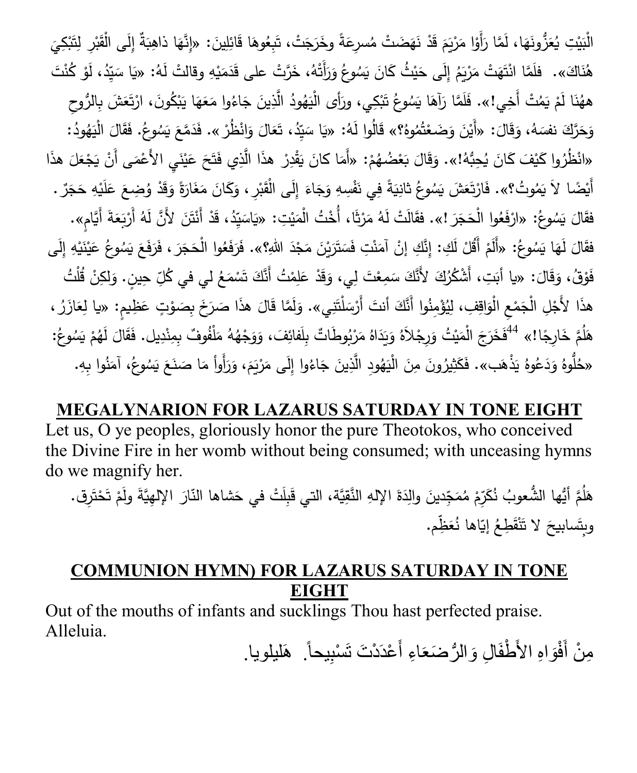الْبَيْتِ يُعَزُّونَهَا، لَمَّا رَأَوْا مَرْيَمَ قَدْ نَهَضَتْ مُسرِعَةً وخَرَجَتْ، تَبِعُوهَا قَائِلِينَ: «إِنَّهَا ذاهِبَةٌ إِلَى الْقَبْرِ لِتَبْكِيَ ِّبُّ <u>ہ</u> َ ِ .<br>-<br>-.<br>أ ْ **ٔ** <u>بَ</u> ْ **م** ؘ<br>;  $\triangleleft$ ؘ<br>; **ٔ** هُٰذَاكَ». فلَمَّا انْتَهَتْ مَرْيَمُ إِلَى حَيْثُ كَانَ يَسُوعُ وَرَأَتْهُ، خَرَّتْ على قَدَمَيْهِ وقالتْ لَهُ: «يَا سَيِّدُ، لَوْ كُنْتَ ֦֧<u>֓</u> َ َ .<br>م ْ ْ ٔ<br>ا َ ههُٰذَا لَمْ يَمُتْ أَخِي!». فَلَمَّا رَآهَا يَسُوعُ تَبْكِي، ورَأَى الْيَهُودُ الَّذِينَ جَاءُوا مَعَهَا يَبْكُونَ، ارْتَعَشَ بِالرُّوحِ<br>. ْ **ٔ** ا  $\triangleleft$ َ َ ֺ֧<sup>ֺ</sup> ٔ. **ٔ** .<br>أ .<br>-وَحَرَّكَ نفسَهُ، وَقَالَ: «أَيْنَ وَضَعْتُمُوهُ؟» قَالُوا لَهُ: «يَا سَيِّدُ، تَعَالَ وَانْظُرْ ». فَدَمَّعَ يَسُوعُ. فَقَالَ الْيَهُودُ:<br>. ْ .<br>. َ  $\overline{a}$ َ ٔ<br>ّ <u>َ</u>  $\overline{a}$ .<br>م  $\zeta$ َ «انْظُرُوا كَيْفَ كَانَ يُحِبُّهُ!». وَقَالَ بَعْضُهُمْ: «أَمَا كانَ يَقْدِرْ هذَا الَّذِي فَتَحَ عَيْنَيِ الأَعْمَى أَنْ يَجْعَلَ هذَا<br>. ْ .<br>ا <u>َ</u> ِّبُّ ٔ<br>ا َ **ٔ** <u>:</u> ً<br>ً ْ اب<br>ا **ٔ** َ َ أَيْضًا لاَ يَمُوتُ؟». فَارْتَعَشَ يَسُوعُ ثانِيَةً فِي نَفْسِهِ وَجَاءَ إِلَى الْقَبْرِ ، وَكَانَ مَغَارَةً وَقَدْ وُضِعَ عَلَيْهِ حَجَرٌ .<br>أَيْضًا لاَ يَمُوتُ؟». فَارْتَعَشَ يَسُوعُ ثانِيَةً فِي نَفْسِهِ وَجَاءَ إِلَى ا ֺ֚֚ .<br>. َ  $\zeta$ َ َ َ ا<br>. ِّبُّ َ َ ْ .<br>م **ء** ֺ֧֧֧֪֧֚֚֚֚֚֚֚֚֚֚֚֚֚֚֚֚֚֚֝֘֝֬֝<del>֚</del> .<br>ا .<br>أ فقَالَ يَسُوعُ: «ارْفَعُوا الْحَجَرَ !». فقَالَتْ لَهُ مَرْثَا، أُخْتُ الْمَيْتِ: «يَاسَيِّدُ، قَدْ أَنْتَنَ لأَنَّ لَهُ أَرْبَعَةَ أَيَّامٍ». .<br>أ .<br>م ْ ً<br>ً َ ٔ. .<br>ا <u>ا</u> .<br>-َ َ فقَالَ لَهَا يَسُوعُ: «أَلَمْ أَقُلْ لَكِ: إِنَّكِ إِنْ آمَنْتِ فَسَتَرَيْنَ مَجْدَ اللّهِ؟». فَرَفَعُوا الْحَجَرَ ، فَرَفَعَ يَسُوعُ عَيْنَيْهِ إِلَى **:** َ ِّبُّ <u>ا</u><br>ا <u>:</u> .<br>-ْ .<br>. َ **ٔ** َ  $\zeta$ .<br>. َ َ َ فَوْقُ، وَقَالَ: «يا أَبَتِ، أَشْكُرُكَ لأَنَّكَ سَمِعْتَ لِي، وَقَدْ عَلِمْتُ أَنَّكَ تَسْمَعُ لي في كُلِّ حِينٍ. وَلكِنْ قُلْتُ ْ .<br>-َ َ ْ َ َ هذَا لأَجْلِ الْجَمْعِ الْوَاقِفِ، لِيُؤْمِنُوا أَنَّكَ أَنتَ أَرْسَلْتَنِي». وَلَمَّا قَالَ هذَا صَرَخَ بِصَوْتٍ عَظِيمٍ: «يا لِعَازَرُ ،<br>. <u>ا</u> ا<br>ا **:** َ ْ َ َ  $\overline{a}$ <u>ہ</u> َ َ هَلُمَّ خَارِجًا!» <sup>44</sup> فَخَرَجَ الْمَيْتُ وَرِجْلاَهُ وَيَدَاهُ مَرْبُوطَاتٌ بِلَفائِفَ، وَوَجْهُهُ مَلْفُوفٌ بِمِنْدِيل. فَقَالَ لَهُمْ يَسُوعُ: ْ  $\overline{a}$ **م** ْ َ ֺ<u>֓</u> َ َ .<br>ا «حُلُّوهُ وَدَعُوهُ يَذْهَب». فَكَثِيرُونَ مِنَ الْيَهُودِ الَّذِينَ جَاءُوا إِلَى مَرْيَمَ، وَرَأَوأَ مَا صَنَعَ يَسُوعُ، آمَنُوا بِهِ.<br>اللَّهُ عَنْهُ عَنْهُ عَنْهُمْ عَنْهُمْ عَنْ اللَّهُ عَنْ الْقَاسِرَ وَالْمَرْضَ وَا ً<br>ً  $\zeta$ َ َ َ َ َ ا<br>ا .<br>م َ

**MEGALYNARION FOR LAZARUS SATURDAY IN TONE EIGHT** Let us, O ye peoples, gloriously honor the pure Theotokos, who conceived the Divine Fire in her womb without being consumed; with unceasing hymns do we magnify her.

هَلُمَّ أَيُّها الشُّعوبُ نُكَرِّمْ مُمَجِّدينَ والِدَةَ الإِلهِ النَّقِيَّة، التي قَبِلَتْ في حَشاها النّارَ الإِلهِيَّةَ ولَمْ تَحْتَرِق. ْ ْ ْ .<br>م  $\overline{1}$ <u>ہ</u> وبِتَسابيحَ لا تَنْقَطِعُ إيّاها نُعَظِّم. ْ

## **COMMUNION HYMN) FOR LAZARUS SATURDAY IN TONE EIGHT**

Out of the mouths of infants and sucklings Thou hast perfected praise. Alleluia.

مِنْ أَفْوَاهِ الأَطْفَالِ وَالرُّضَعَاءِ أَعْدَدْتَ تَسْبِيحاً. ۚ هَليلويا. َ َ